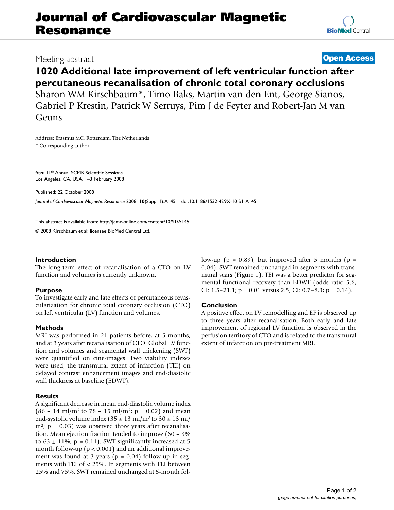# **Journal of Cardiovascular Magnetic Resonance**

### Meeting abstract **[Open Access](http://www.biomedcentral.com/info/about/charter/)**

## **1020 Additional late improvement of left ventricular function after percutaneous recanalisation of chronic total coronary occlusions** Sharon WM Kirschbaum\*, Timo Baks, Martin van den Ent, George Sianos,

Gabriel P Krestin, Patrick W Serruys, Pim J de Feyter and Robert-Jan M van Geuns

Address: Erasmus MC, Rotterdam, The Netherlands \* Corresponding author

*from* 11th Annual SCMR Scientific Sessions Los Angeles, CA, USA. 1–3 February 2008

Published: 22 October 2008 *Journal of Cardiovascular Magnetic Resonance* 2008, **10**(Suppl 1):A145 doi:10.1186/1532-429X-10-S1-A145

[This abstract is available from: http://jcmr-online.com/content/10/S1/A145](http://jcmr-online.com/content/10/S1/A145)

© 2008 Kirschbaum et al; licensee BioMed Central Ltd.

#### **Introduction**

The long-term effect of recanalisation of a CTO on LV function and volumes is currently unknown.

#### **Purpose**

To investigate early and late effects of percutaneous revascularization for chronic total coronary occlusion (CTO) on left ventricular (LV) function and volumes.

#### **Methods**

MRI was performed in 21 patients before, at 5 months, and at 3 years after recanalisation of CTO. Global LV function and volumes and segmental wall thickening (SWT) were quantified on cine-images. Two viability indexes were used; the transmural extent of infarction (TEI) on delayed contrast enhancement images and end-diastolic wall thickness at baseline (EDWT).

#### **Results**

A significant decrease in mean end-diastolic volume index  $(86 \pm 14 \text{ ml/m}^2 \text{ to } 78 \pm 15 \text{ ml/m}^2; \text{ p} = 0.02)$  and mean end-systolic volume index  $(35 \pm 13 \text{ ml/m}^2$  to  $30 \pm 13 \text{ ml/}$  $m^2$ ;  $p = 0.03$ ) was observed three years after recanalisation. Mean ejection fraction tended to improve  $(60 \pm 9\%)$ to  $63 \pm 11\%$ ; p = 0.11). SWT significantly increased at 5 month follow-up ( $p < 0.001$ ) and an additional improvement was found at 3 years ( $p = 0.04$ ) follow-up in segments with TEI of < 25%. In segments with TEI between 25% and 75%, SWT remained unchanged at 5-month follow-up ( $p = 0.89$ ), but improved after 5 months ( $p =$ 0.04). SWT remained unchanged in segments with transmural scars (Figure 1). TEI was a better predictor for segmental functional recovery than EDWT (odds ratio 5.6, CI:  $1.5-21.1$ ;  $p = 0.01$  versus  $2.5$ , CI:  $0.7-8.3$ ;  $p = 0.14$ ).

#### **Conclusion**

A positive effect on LV remodelling and EF is observed up to three years after recanalisation. Both early and late improvement of regional LV function is observed in the perfusion territory of CTO and is related to the transmural extent of infarction on pre-treatment MRI.